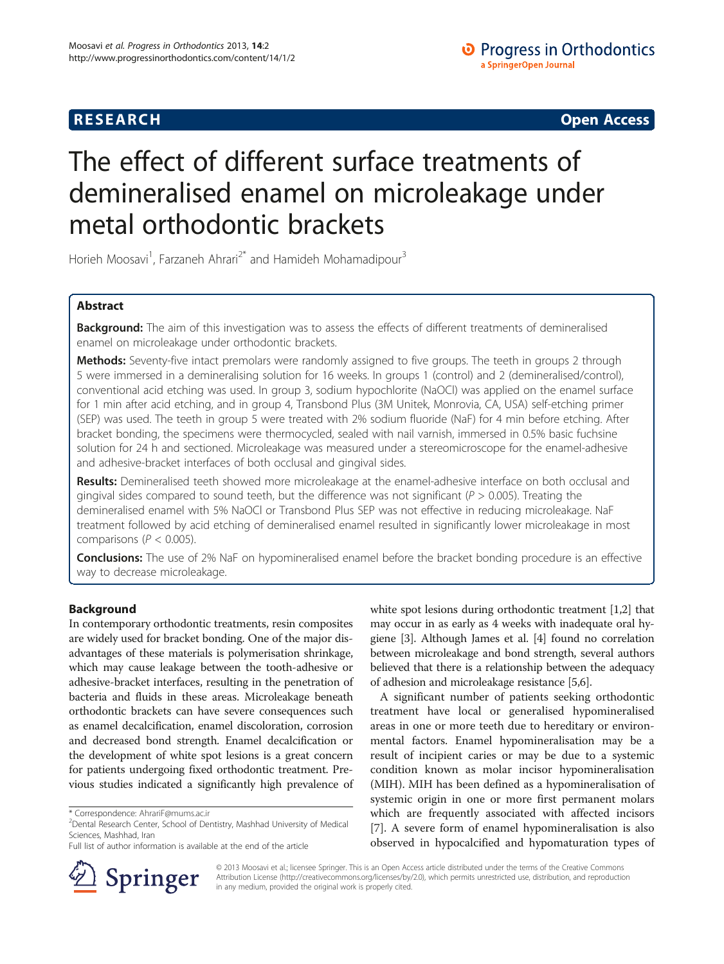# **RESEARCH RESEARCH CONSUMING ACCESS**

# The effect of different surface treatments of demineralised enamel on microleakage under metal orthodontic brackets

Horieh Moosavi<sup>1</sup>, Farzaneh Ahrari<sup>2\*</sup> and Hamideh Mohamadipour<sup>3</sup>

# Abstract

Background: The aim of this investigation was to assess the effects of different treatments of demineralised enamel on microleakage under orthodontic brackets.

Methods: Seventy-five intact premolars were randomly assigned to five groups. The teeth in groups 2 through 5 were immersed in a demineralising solution for 16 weeks. In groups 1 (control) and 2 (demineralised/control), conventional acid etching was used. In group 3, sodium hypochlorite (NaOCl) was applied on the enamel surface for 1 min after acid etching, and in group 4, Transbond Plus (3M Unitek, Monrovia, CA, USA) self-etching primer (SEP) was used. The teeth in group 5 were treated with 2% sodium fluoride (NaF) for 4 min before etching. After bracket bonding, the specimens were thermocycled, sealed with nail varnish, immersed in 0.5% basic fuchsine solution for 24 h and sectioned. Microleakage was measured under a stereomicroscope for the enamel-adhesive and adhesive-bracket interfaces of both occlusal and gingival sides.

Results: Demineralised teeth showed more microleakage at the enamel-adhesive interface on both occlusal and gingival sides compared to sound teeth, but the difference was not significant ( $P > 0.005$ ). Treating the demineralised enamel with 5% NaOCl or Transbond Plus SEP was not effective in reducing microleakage. NaF treatment followed by acid etching of demineralised enamel resulted in significantly lower microleakage in most comparisons ( $P < 0.005$ ).

**Conclusions:** The use of 2% NaF on hypomineralised enamel before the bracket bonding procedure is an effective way to decrease microleakage.

# Background

In contemporary orthodontic treatments, resin composites are widely used for bracket bonding. One of the major disadvantages of these materials is polymerisation shrinkage, which may cause leakage between the tooth-adhesive or adhesive-bracket interfaces, resulting in the penetration of bacteria and fluids in these areas. Microleakage beneath orthodontic brackets can have severe consequences such as enamel decalcification, enamel discoloration, corrosion and decreased bond strength. Enamel decalcification or the development of white spot lesions is a great concern for patients undergoing fixed orthodontic treatment. Previous studies indicated a significantly high prevalence of

Full list of author information is available at the end of the article



white spot lesions during orthodontic treatment [\[1,2\]](#page-5-0) that may occur in as early as 4 weeks with inadequate oral hygiene [[3](#page-5-0)]. Although James et al. [[4\]](#page-5-0) found no correlation between microleakage and bond strength, several authors believed that there is a relationship between the adequacy of adhesion and microleakage resistance [\[5,6](#page-5-0)].

A significant number of patients seeking orthodontic treatment have local or generalised hypomineralised areas in one or more teeth due to hereditary or environmental factors. Enamel hypomineralisation may be a result of incipient caries or may be due to a systemic condition known as molar incisor hypomineralisation (MIH). MIH has been defined as a hypomineralisation of systemic origin in one or more first permanent molars which are frequently associated with affected incisors [[7\]](#page-5-0). A severe form of enamel hypomineralisation is also observed in hypocalcified and hypomaturation types of

© 2013 Moosavi et al.; licensee Springer. This is an Open Access article distributed under the terms of the Creative Commons Attribution License [\(http://creativecommons.org/licenses/by/2.0\)](http://creativecommons.org/licenses/by/2.0), which permits unrestricted use, distribution, and reproduction in any medium, provided the original work is properly cited.

<sup>\*</sup> Correspondence: [AhrariF@mums.ac.ir](mailto:AhrariF@mums.ac.ir) <sup>2</sup>

<sup>&</sup>lt;sup>2</sup> Dental Research Center, School of Dentistry, Mashhad University of Medical Sciences, Mashhad, Iran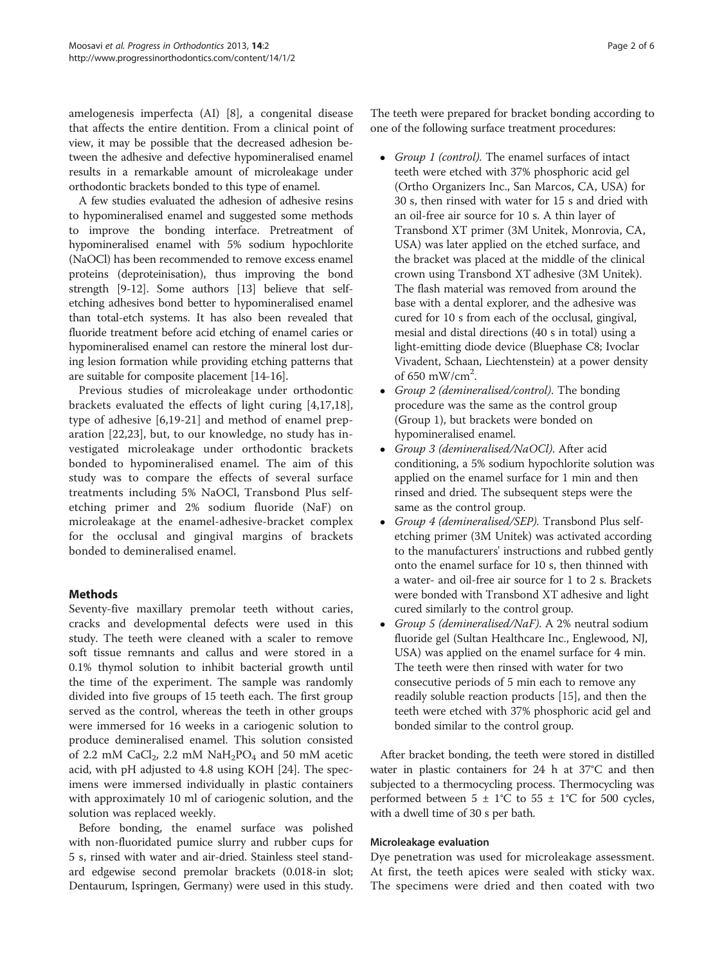amelogenesis imperfecta (AI) [\[8](#page-5-0)], a congenital disease that affects the entire dentition. From a clinical point of view, it may be possible that the decreased adhesion between the adhesive and defective hypomineralised enamel results in a remarkable amount of microleakage under orthodontic brackets bonded to this type of enamel.

A few studies evaluated the adhesion of adhesive resins to hypomineralised enamel and suggested some methods to improve the bonding interface. Pretreatment of hypomineralised enamel with 5% sodium hypochlorite (NaOCl) has been recommended to remove excess enamel proteins (deproteinisation), thus improving the bond strength [\[9](#page-5-0)-[12](#page-5-0)]. Some authors [[13](#page-5-0)] believe that selfetching adhesives bond better to hypomineralised enamel than total-etch systems. It has also been revealed that fluoride treatment before acid etching of enamel caries or hypomineralised enamel can restore the mineral lost during lesion formation while providing etching patterns that are suitable for composite placement [\[14-16\]](#page-5-0).

Previous studies of microleakage under orthodontic brackets evaluated the effects of light curing [[4,17,18](#page-5-0)], type of adhesive [\[6](#page-5-0),[19-21](#page-5-0)] and method of enamel preparation [[22,23\]](#page-5-0), but, to our knowledge, no study has investigated microleakage under orthodontic brackets bonded to hypomineralised enamel. The aim of this study was to compare the effects of several surface treatments including 5% NaOCl, Transbond Plus selfetching primer and 2% sodium fluoride (NaF) on microleakage at the enamel-adhesive-bracket complex for the occlusal and gingival margins of brackets bonded to demineralised enamel.

# Methods

Seventy-five maxillary premolar teeth without caries, cracks and developmental defects were used in this study. The teeth were cleaned with a scaler to remove soft tissue remnants and callus and were stored in a 0.1% thymol solution to inhibit bacterial growth until the time of the experiment. The sample was randomly divided into five groups of 15 teeth each. The first group served as the control, whereas the teeth in other groups were immersed for 16 weeks in a cariogenic solution to produce demineralised enamel. This solution consisted of 2.2 mM CaCl<sub>2</sub>, 2.2 mM NaH<sub>2</sub>PO<sub>4</sub> and 50 mM acetic acid, with pH adjusted to 4.8 using KOH [[24\]](#page-5-0). The specimens were immersed individually in plastic containers with approximately 10 ml of cariogenic solution, and the solution was replaced weekly.

Before bonding, the enamel surface was polished with non-fluoridated pumice slurry and rubber cups for 5 s, rinsed with water and air-dried. Stainless steel standard edgewise second premolar brackets (0.018-in slot; Dentaurum, Ispringen, Germany) were used in this study. The teeth were prepared for bracket bonding according to one of the following surface treatment procedures:

- Group 1 (control). The enamel surfaces of intact teeth were etched with 37% phosphoric acid gel (Ortho Organizers Inc., San Marcos, CA, USA) for 30 s, then rinsed with water for 15 s and dried with an oil-free air source for 10 s. A thin layer of Transbond XT primer (3M Unitek, Monrovia, CA, USA) was later applied on the etched surface, and the bracket was placed at the middle of the clinical crown using Transbond XT adhesive (3M Unitek). The flash material was removed from around the base with a dental explorer, and the adhesive was cured for 10 s from each of the occlusal, gingival, mesial and distal directions (40 s in total) using a light-emitting diode device (Bluephase C8; Ivoclar Vivadent, Schaan, Liechtenstein) at a power density of 650 mW/cm<sup>2</sup> .
- Group 2 (demineralised/control). The bonding procedure was the same as the control group (Group 1), but brackets were bonded on hypomineralised enamel.
- Group 3 (demineralised/NaOCl). After acid conditioning, a 5% sodium hypochlorite solution was applied on the enamel surface for 1 min and then rinsed and dried. The subsequent steps were the same as the control group.
- Group 4 (demineralised/SEP). Transbond Plus selfetching primer (3M Unitek) was activated according to the manufacturers' instructions and rubbed gently onto the enamel surface for 10 s, then thinned with a water- and oil-free air source for 1 to 2 s. Brackets were bonded with Transbond XT adhesive and light cured similarly to the control group.
- Group 5 (demineralised/NaF). A 2% neutral sodium fluoride gel (Sultan Healthcare Inc., Englewood, NJ, USA) was applied on the enamel surface for 4 min. The teeth were then rinsed with water for two consecutive periods of 5 min each to remove any readily soluble reaction products [[15](#page-5-0)], and then the teeth were etched with 37% phosphoric acid gel and bonded similar to the control group.

After bracket bonding, the teeth were stored in distilled water in plastic containers for 24 h at 37°C and then subjected to a thermocycling process. Thermocycling was performed between  $5 \pm 1^{\circ}C$  to  $55 \pm 1^{\circ}C$  for 500 cycles, with a dwell time of 30 s per bath.

# Microleakage evaluation

Dye penetration was used for microleakage assessment. At first, the teeth apices were sealed with sticky wax. The specimens were dried and then coated with two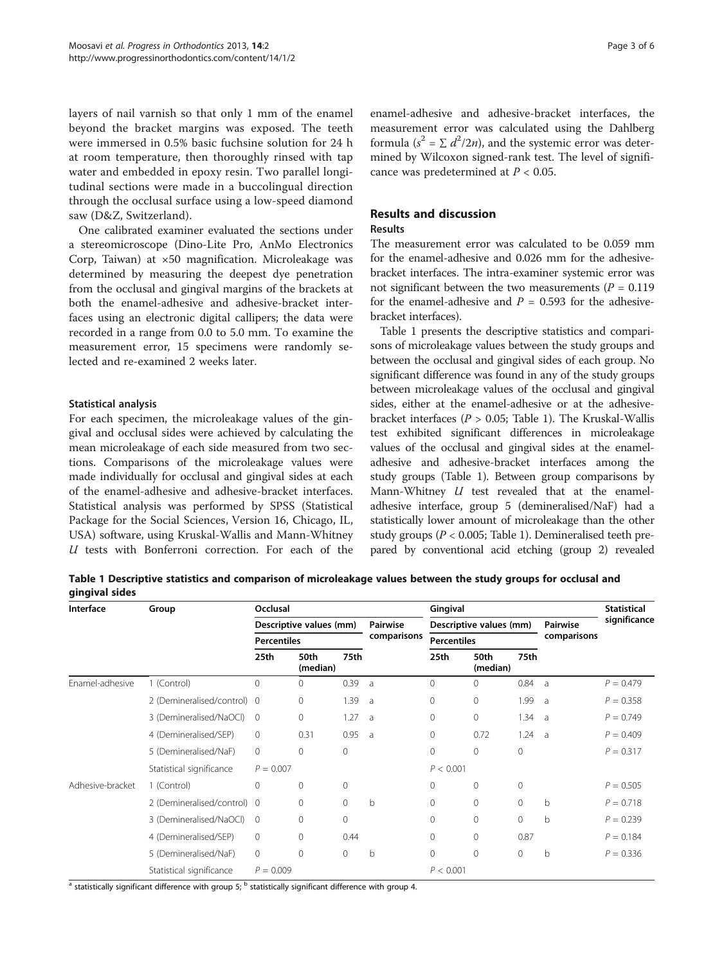<span id="page-2-0"></span>layers of nail varnish so that only 1 mm of the enamel beyond the bracket margins was exposed. The teeth were immersed in 0.5% basic fuchsine solution for 24 h at room temperature, then thoroughly rinsed with tap water and embedded in epoxy resin. Two parallel longitudinal sections were made in a buccolingual direction through the occlusal surface using a low-speed diamond saw (D&Z, Switzerland).

One calibrated examiner evaluated the sections under a stereomicroscope (Dino-Lite Pro, AnMo Electronics Corp, Taiwan) at ×50 magnification. Microleakage was determined by measuring the deepest dye penetration from the occlusal and gingival margins of the brackets at both the enamel-adhesive and adhesive-bracket interfaces using an electronic digital callipers; the data were recorded in a range from 0.0 to 5.0 mm. To examine the measurement error, 15 specimens were randomly selected and re-examined 2 weeks later.

# Statistical analysis

For each specimen, the microleakage values of the gingival and occlusal sides were achieved by calculating the mean microleakage of each side measured from two sections. Comparisons of the microleakage values were made individually for occlusal and gingival sides at each of the enamel-adhesive and adhesive-bracket interfaces. Statistical analysis was performed by SPSS (Statistical Package for the Social Sciences, Version 16, Chicago, IL, USA) software, using Kruskal-Wallis and Mann-Whitney U tests with Bonferroni correction. For each of the enamel-adhesive and adhesive-bracket interfaces, the measurement error was calculated using the Dahlberg formula ( $s^2 = \sum d^2/2n$ ), and the systemic error was determined by Wilcoxon signed-rank test. The level of significance was predetermined at  $P < 0.05$ .

# Results and discussion

# Results

The measurement error was calculated to be 0.059 mm for the enamel-adhesive and 0.026 mm for the adhesivebracket interfaces. The intra-examiner systemic error was not significant between the two measurements ( $P = 0.119$ ) for the enamel-adhesive and  $P = 0.593$  for the adhesivebracket interfaces).

Table 1 presents the descriptive statistics and comparisons of microleakage values between the study groups and between the occlusal and gingival sides of each group. No significant difference was found in any of the study groups between microleakage values of the occlusal and gingival sides, either at the enamel-adhesive or at the adhesivebracket interfaces ( $P > 0.05$ ; Table 1). The Kruskal-Wallis test exhibited significant differences in microleakage values of the occlusal and gingival sides at the enameladhesive and adhesive-bracket interfaces among the study groups (Table 1). Between group comparisons by Mann-Whitney  $U$  test revealed that at the enameladhesive interface, group 5 (demineralised/NaF) had a statistically lower amount of microleakage than the other study groups ( $P < 0.005$ ; Table 1). Demineralised teeth prepared by conventional acid etching (group 2) revealed

Table 1 Descriptive statistics and comparison of microleakage values between the study groups for occlusal and gingival sides

| Interface                   | Group                       | Occlusal                                      |              |              |                         | Gingival                                      |              |                |                                | <b>Statistical</b> |
|-----------------------------|-----------------------------|-----------------------------------------------|--------------|--------------|-------------------------|-----------------------------------------------|--------------|----------------|--------------------------------|--------------------|
|                             |                             | Descriptive values (mm)<br><b>Percentiles</b> |              |              | Pairwise<br>comparisons | Descriptive values (mm)<br><b>Percentiles</b> |              |                | <b>Pairwise</b><br>comparisons | significance       |
|                             |                             |                                               |              |              |                         |                                               |              |                |                                |                    |
|                             |                             | Enamel-adhesive                               | 1 (Control)  | $\mathbf 0$  | $\mathbf{0}$            | 0.39                                          | a            | $\mathbf{0}$   | $\Omega$                       | 0.84               |
| 2 (Demineralised/control) 0 |                             |                                               | $\mathbf{0}$ | 1.39         | $\overline{a}$          | $\mathbf{0}$                                  | $\mathbf{0}$ | 1.99           | a                              | $P = 0.358$        |
| 3 (Demineralised/NaOCl)     | $\mathbf 0$                 |                                               | $\mathbf{0}$ | 1.27         | $\overline{a}$          | 0                                             | $\circ$      | 1.34           | a -                            | $P = 0.749$        |
| 4 (Demineralised/SEP)       | $\mathbf{0}$                |                                               | 0.31         | 0.95         | - a                     | $\mathbf{0}$                                  | 0.72         | 1.24           | $\overline{a}$                 | $P = 0.409$        |
| 5 (Demineralised/NaF)       | $\mathbf{0}$                |                                               | $\mathbf{0}$ | $\Omega$     |                         | 0                                             | $\Omega$     | $\mathbf{0}$   |                                | $P = 0.317$        |
| Statistical significance    | $P = 0.007$                 |                                               |              |              |                         | P < 0.001                                     |              |                |                                |                    |
| Adhesive-bracket            | 1 (Control)                 | 0                                             | $\mathbf{0}$ | $\mathbf{0}$ |                         | $\mathbf 0$                                   | $\mathbf{0}$ | $\mathbf{0}$   |                                | $P = 0.505$        |
|                             | 2 (Demineralised/control) 0 |                                               | $\Omega$     | $\circ$      | $\mathsf b$             | $\mathbf{0}$                                  | $\Omega$     | $\Omega$       | $\mathsf{b}$                   | $P = 0.718$        |
|                             | 3 (Demineralised/NaOCl)     | $\overline{0}$                                | $\Omega$     | $\mathbf{0}$ |                         | $\mathbf{0}$                                  | $\Omega$     | $\mathbf{0}$   | $\mathsf{b}$                   | $P = 0.239$        |
|                             | 4 (Demineralised/SEP)       | 0                                             | $\Omega$     | 0.44         |                         | $\mathbf{0}$                                  | 0            | 0.87           |                                | $P = 0.184$        |
|                             | 5 (Demineralised/NaF)       | 0                                             | $\mathbf{0}$ | $\mathbf{0}$ | $\mathsf b$             | 0                                             | $\mathbf{0}$ | $\overline{0}$ | b                              | $P = 0.336$        |
|                             | Statistical significance    | $P = 0.009$                                   |              |              |                         | P < 0.001                                     |              |                |                                |                    |

<sup>a</sup> statistically significant difference with group 5; <sup>b</sup> statistically significant difference with group 4.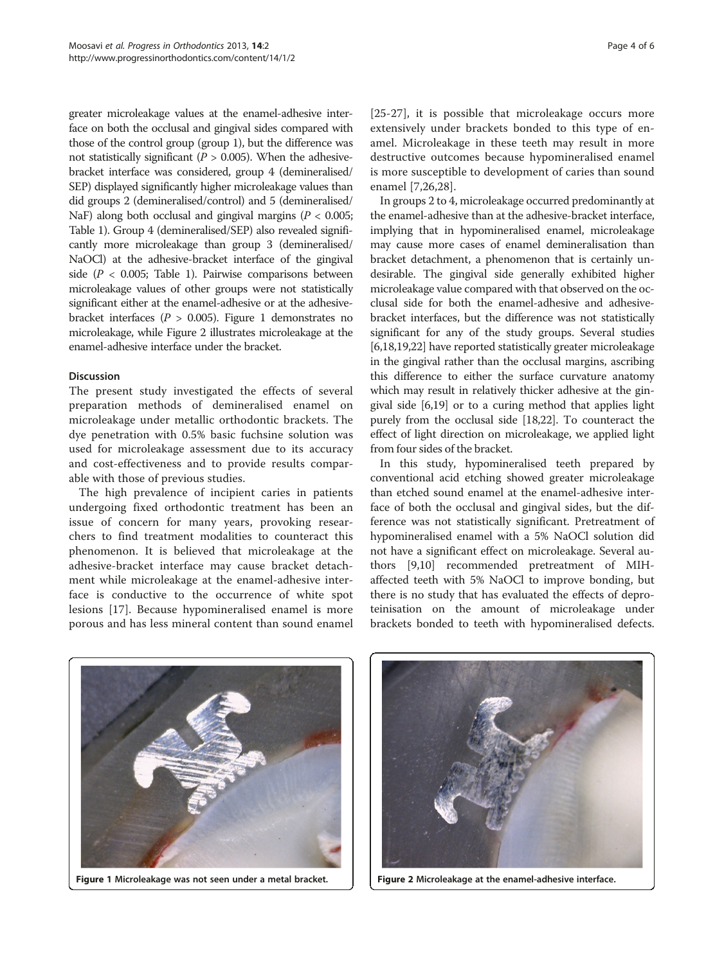greater microleakage values at the enamel-adhesive interface on both the occlusal and gingival sides compared with those of the control group (group 1), but the difference was not statistically significant ( $P > 0.005$ ). When the adhesivebracket interface was considered, group 4 (demineralised/ SEP) displayed significantly higher microleakage values than did groups 2 (demineralised/control) and 5 (demineralised/ NaF) along both occlusal and gingival margins ( $P < 0.005$ ; Table [1](#page-2-0)). Group 4 (demineralised/SEP) also revealed significantly more microleakage than group 3 (demineralised/ NaOCl) at the adhesive-bracket interface of the gingival side ( $P < 0.005$ ; Table [1](#page-2-0)). Pairwise comparisons between microleakage values of other groups were not statistically significant either at the enamel-adhesive or at the adhesivebracket interfaces ( $P > 0.005$ ). Figure 1 demonstrates no microleakage, while Figure 2 illustrates microleakage at the enamel-adhesive interface under the bracket.

#### Discussion

The present study investigated the effects of several preparation methods of demineralised enamel on microleakage under metallic orthodontic brackets. The dye penetration with 0.5% basic fuchsine solution was used for microleakage assessment due to its accuracy and cost-effectiveness and to provide results comparable with those of previous studies.

The high prevalence of incipient caries in patients undergoing fixed orthodontic treatment has been an issue of concern for many years, provoking researchers to find treatment modalities to counteract this phenomenon. It is believed that microleakage at the adhesive-bracket interface may cause bracket detachment while microleakage at the enamel-adhesive interface is conductive to the occurrence of white spot lesions [[17\]](#page-5-0). Because hypomineralised enamel is more porous and has less mineral content than sound enamel

[[25-27\]](#page-5-0), it is possible that microleakage occurs more extensively under brackets bonded to this type of enamel. Microleakage in these teeth may result in more destructive outcomes because hypomineralised enamel is more susceptible to development of caries than sound enamel [\[7,26,28\]](#page-5-0).

In groups 2 to 4, microleakage occurred predominantly at the enamel-adhesive than at the adhesive-bracket interface, implying that in hypomineralised enamel, microleakage may cause more cases of enamel demineralisation than bracket detachment, a phenomenon that is certainly undesirable. The gingival side generally exhibited higher microleakage value compared with that observed on the occlusal side for both the enamel-adhesive and adhesivebracket interfaces, but the difference was not statistically significant for any of the study groups. Several studies [[6,18,19,22\]](#page-5-0) have reported statistically greater microleakage in the gingival rather than the occlusal margins, ascribing this difference to either the surface curvature anatomy which may result in relatively thicker adhesive at the gingival side [\[6,19\]](#page-5-0) or to a curing method that applies light purely from the occlusal side [\[18,22](#page-5-0)]. To counteract the effect of light direction on microleakage, we applied light from four sides of the bracket.

In this study, hypomineralised teeth prepared by conventional acid etching showed greater microleakage than etched sound enamel at the enamel-adhesive interface of both the occlusal and gingival sides, but the difference was not statistically significant. Pretreatment of hypomineralised enamel with a 5% NaOCl solution did not have a significant effect on microleakage. Several authors [\[9,10](#page-5-0)] recommended pretreatment of MIHaffected teeth with 5% NaOCl to improve bonding, but there is no study that has evaluated the effects of deproteinisation on the amount of microleakage under brackets bonded to teeth with hypomineralised defects.



Figure 1 Microleakage was not seen under a metal bracket. Figure 2 Microleakage at the enamel-adhesive interface.

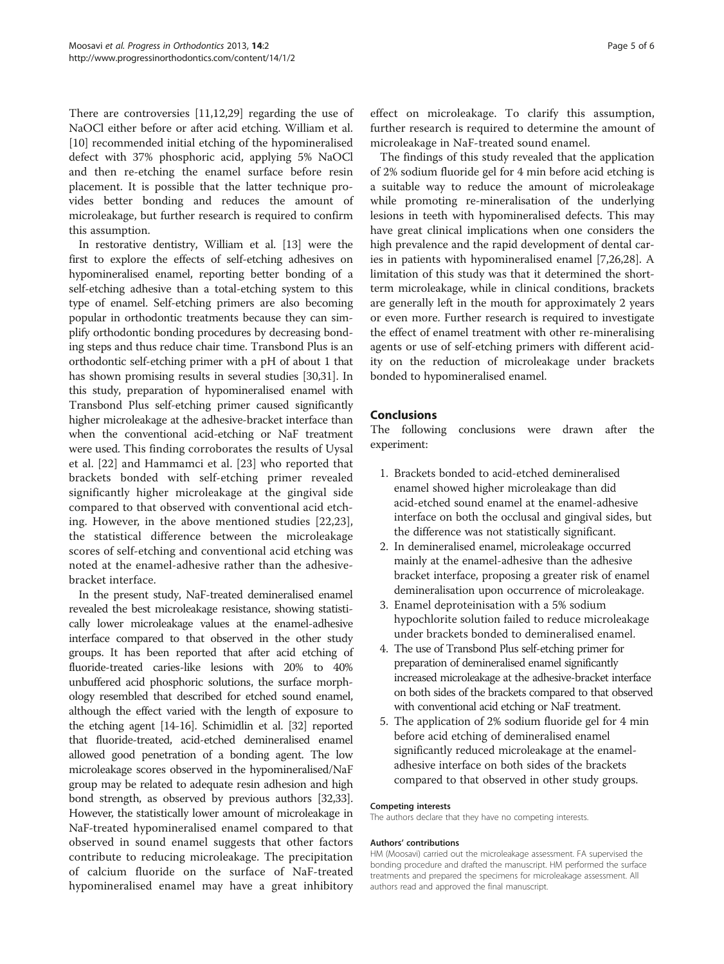There are controversies [\[11,12,29](#page-5-0)] regarding the use of NaOCl either before or after acid etching. William et al. [[10\]](#page-5-0) recommended initial etching of the hypomineralised defect with 37% phosphoric acid, applying 5% NaOCl and then re-etching the enamel surface before resin placement. It is possible that the latter technique provides better bonding and reduces the amount of microleakage, but further research is required to confirm this assumption.

In restorative dentistry, William et al. [\[13](#page-5-0)] were the first to explore the effects of self-etching adhesives on hypomineralised enamel, reporting better bonding of a self-etching adhesive than a total-etching system to this type of enamel. Self-etching primers are also becoming popular in orthodontic treatments because they can simplify orthodontic bonding procedures by decreasing bonding steps and thus reduce chair time. Transbond Plus is an orthodontic self-etching primer with a pH of about 1 that has shown promising results in several studies [\[30,31](#page-5-0)]. In this study, preparation of hypomineralised enamel with Transbond Plus self-etching primer caused significantly higher microleakage at the adhesive-bracket interface than when the conventional acid-etching or NaF treatment were used. This finding corroborates the results of Uysal et al. [[22\]](#page-5-0) and Hammamci et al. [[23\]](#page-5-0) who reported that brackets bonded with self-etching primer revealed significantly higher microleakage at the gingival side compared to that observed with conventional acid etching. However, in the above mentioned studies [[22,23](#page-5-0)], the statistical difference between the microleakage scores of self-etching and conventional acid etching was noted at the enamel-adhesive rather than the adhesivebracket interface.

In the present study, NaF-treated demineralised enamel revealed the best microleakage resistance, showing statistically lower microleakage values at the enamel-adhesive interface compared to that observed in the other study groups. It has been reported that after acid etching of fluoride-treated caries-like lesions with 20% to 40% unbuffered acid phosphoric solutions, the surface morphology resembled that described for etched sound enamel, although the effect varied with the length of exposure to the etching agent [[14](#page-5-0)-[16](#page-5-0)]. Schimidlin et al. [\[32\]](#page-5-0) reported that fluoride-treated, acid-etched demineralised enamel allowed good penetration of a bonding agent. The low microleakage scores observed in the hypomineralised/NaF group may be related to adequate resin adhesion and high bond strength, as observed by previous authors [\[32,33](#page-5-0)]. However, the statistically lower amount of microleakage in NaF-treated hypomineralised enamel compared to that observed in sound enamel suggests that other factors contribute to reducing microleakage. The precipitation of calcium fluoride on the surface of NaF-treated hypomineralised enamel may have a great inhibitory

effect on microleakage. To clarify this assumption, further research is required to determine the amount of microleakage in NaF-treated sound enamel.

The findings of this study revealed that the application of 2% sodium fluoride gel for 4 min before acid etching is a suitable way to reduce the amount of microleakage while promoting re-mineralisation of the underlying lesions in teeth with hypomineralised defects. This may have great clinical implications when one considers the high prevalence and the rapid development of dental caries in patients with hypomineralised enamel [\[7,26,28\]](#page-5-0). A limitation of this study was that it determined the shortterm microleakage, while in clinical conditions, brackets are generally left in the mouth for approximately 2 years or even more. Further research is required to investigate the effect of enamel treatment with other re-mineralising agents or use of self-etching primers with different acidity on the reduction of microleakage under brackets bonded to hypomineralised enamel.

# Conclusions

The following conclusions were drawn after the experiment:

- 1. Brackets bonded to acid-etched demineralised enamel showed higher microleakage than did acid-etched sound enamel at the enamel-adhesive interface on both the occlusal and gingival sides, but the difference was not statistically significant.
- 2. In demineralised enamel, microleakage occurred mainly at the enamel-adhesive than the adhesive bracket interface, proposing a greater risk of enamel demineralisation upon occurrence of microleakage.
- 3. Enamel deproteinisation with a 5% sodium hypochlorite solution failed to reduce microleakage under brackets bonded to demineralised enamel.
- 4. The use of Transbond Plus self-etching primer for preparation of demineralised enamel significantly increased microleakage at the adhesive-bracket interface on both sides of the brackets compared to that observed with conventional acid etching or NaF treatment.
- 5. The application of 2% sodium fluoride gel for 4 min before acid etching of demineralised enamel significantly reduced microleakage at the enameladhesive interface on both sides of the brackets compared to that observed in other study groups.

#### Competing interests

The authors declare that they have no competing interests.

#### Authors' contributions

HM (Moosavi) carried out the microleakage assessment. FA supervised the bonding procedure and drafted the manuscript. HM performed the surface treatments and prepared the specimens for microleakage assessment. All authors read and approved the final manuscript.